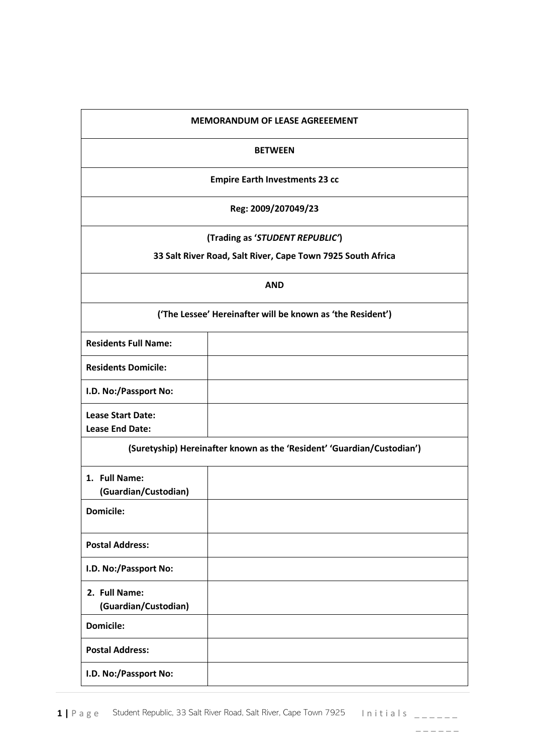|                                                                        | <b>MEMORANDUM OF LEASE AGREEEMENT</b>                       |  |  |  |
|------------------------------------------------------------------------|-------------------------------------------------------------|--|--|--|
| <b>BETWEEN</b>                                                         |                                                             |  |  |  |
| <b>Empire Earth Investments 23 cc</b>                                  |                                                             |  |  |  |
| Reg: 2009/207049/23                                                    |                                                             |  |  |  |
|                                                                        | (Trading as 'STUDENT REPUBLIC')                             |  |  |  |
|                                                                        | 33 Salt River Road, Salt River, Cape Town 7925 South Africa |  |  |  |
|                                                                        | <b>AND</b>                                                  |  |  |  |
| ('The Lessee' Hereinafter will be known as 'the Resident')             |                                                             |  |  |  |
| <b>Residents Full Name:</b>                                            |                                                             |  |  |  |
| <b>Residents Domicile:</b>                                             |                                                             |  |  |  |
| I.D. No:/Passport No:                                                  |                                                             |  |  |  |
| <b>Lease Start Date:</b><br><b>Lease End Date:</b>                     |                                                             |  |  |  |
| (Suretyship) Hereinafter known as the 'Resident' 'Guardian/Custodian') |                                                             |  |  |  |
| 1. Full Name:<br>(Guardian/Custodian)                                  |                                                             |  |  |  |
| <b>Domicile:</b>                                                       |                                                             |  |  |  |
| <b>Postal Address:</b>                                                 |                                                             |  |  |  |
| I.D. No:/Passport No:                                                  |                                                             |  |  |  |
| 2. Full Name:<br>(Guardian/Custodian)                                  |                                                             |  |  |  |
| <b>Domicile:</b>                                                       |                                                             |  |  |  |
| <b>Postal Address:</b>                                                 |                                                             |  |  |  |
| I.D. No:/Passport No:                                                  |                                                             |  |  |  |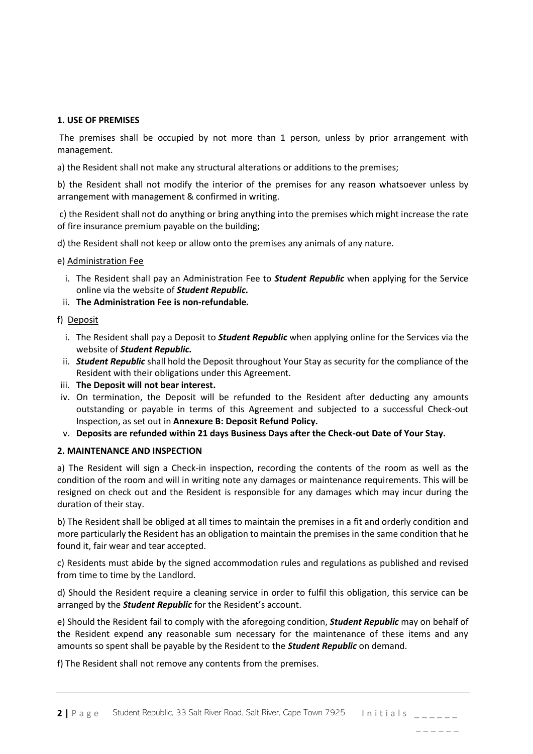### **1. USE OF PREMISES**

The premises shall be occupied by not more than 1 person, unless by prior arrangement with management.

a) the Resident shall not make any structural alterations or additions to the premises;

b) the Resident shall not modify the interior of the premises for any reason whatsoever unless by arrangement with management & confirmed in writing.

c) the Resident shall not do anything or bring anything into the premises which might increase the rate of fire insurance premium payable on the building;

d) the Resident shall not keep or allow onto the premises any animals of any nature.

e) Administration Fee

- i. The Resident shall pay an Administration Fee to *Student Republic* when applying for the Service online via the website of *Student Republic.*
- ii. **The Administration Fee is non-refundable***.*

# f) Deposit

- i. The Resident shall pay a Deposit to *Student Republic* when applying online for the Services via the website of *Student Republic.*
- ii. *Student Republic* shall hold the Deposit throughout Your Stay as security for the compliance of the Resident with their obligations under this Agreement.
- iii. **The Deposit will not bear interest.**
- iv. On termination, the Deposit will be refunded to the Resident after deducting any amounts outstanding or payable in terms of this Agreement and subjected to a successful Check-out Inspection, as set out in **Annexure B: Deposit Refund Policy.**
- v. **Deposits are refunded within 21 days Business Days after the Check-out Date of Your Stay.**

### **2. MAINTENANCE AND INSPECTION**

a) The Resident will sign a Check-in inspection, recording the contents of the room as well as the condition of the room and will in writing note any damages or maintenance requirements. This will be resigned on check out and the Resident is responsible for any damages which may incur during the duration of their stay.

b) The Resident shall be obliged at all times to maintain the premises in a fit and orderly condition and more particularly the Resident has an obligation to maintain the premises in the same condition that he found it, fair wear and tear accepted.

c) Residents must abide by the signed accommodation rules and regulations as published and revised from time to time by the Landlord.

d) Should the Resident require a cleaning service in order to fulfil this obligation, this service can be arranged by the *Student Republic* for the Resident's account.

e) Should the Resident fail to comply with the aforegoing condition, *Student Republic* may on behalf of the Resident expend any reasonable sum necessary for the maintenance of these items and any amounts so spent shall be payable by the Resident to the *Student Republic* on demand.

f) The Resident shall not remove any contents from the premises.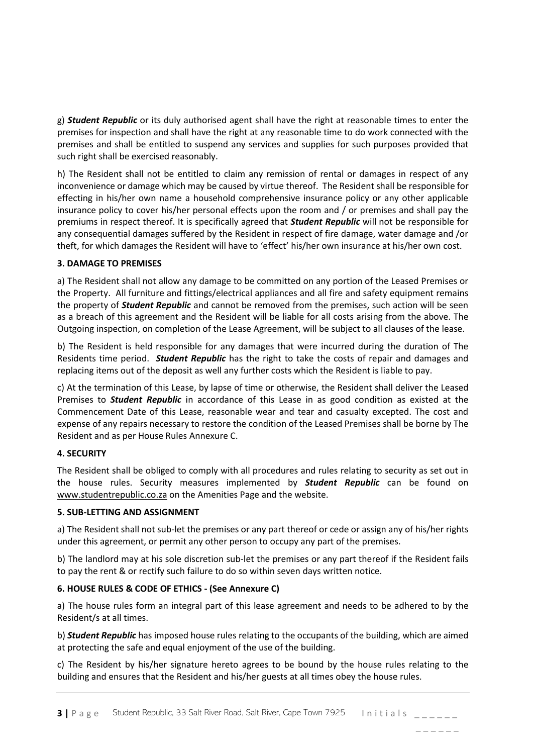g) *Student Republic* or its duly authorised agent shall have the right at reasonable times to enter the premises for inspection and shall have the right at any reasonable time to do work connected with the premises and shall be entitled to suspend any services and supplies for such purposes provided that such right shall be exercised reasonably.

h) The Resident shall not be entitled to claim any remission of rental or damages in respect of any inconvenience or damage which may be caused by virtue thereof. The Resident shall be responsible for effecting in his/her own name a household comprehensive insurance policy or any other applicable insurance policy to cover his/her personal effects upon the room and / or premises and shall pay the premiums in respect thereof. It is specifically agreed that *Student Republic* will not be responsible for any consequential damages suffered by the Resident in respect of fire damage, water damage and /or theft, for which damages the Resident will have to 'effect' his/her own insurance at his/her own cost.

# **3. DAMAGE TO PREMISES**

a) The Resident shall not allow any damage to be committed on any portion of the Leased Premises or the Property. All furniture and fittings/electrical appliances and all fire and safety equipment remains the property of *Student Republic* and cannot be removed from the premises, such action will be seen as a breach of this agreement and the Resident will be liable for all costs arising from the above. The Outgoing inspection, on completion of the Lease Agreement, will be subject to all clauses of the lease.

b) The Resident is held responsible for any damages that were incurred during the duration of The Residents time period. *Student Republic* has the right to take the costs of repair and damages and replacing items out of the deposit as well any further costs which the Resident is liable to pay.

c) At the termination of this Lease, by lapse of time or otherwise, the Resident shall deliver the Leased Premises to *Student Republic* in accordance of this Lease in as good condition as existed at the Commencement Date of this Lease, reasonable wear and tear and casualty excepted. The cost and expense of any repairs necessary to restore the condition of the Leased Premises shall be borne by The Resident and as per House Rules Annexure C.

### **4. SECURITY**

The Resident shall be obliged to comply with all procedures and rules relating to security as set out in the house rules. Security measures implemented by *Student Republic* can be found on www.studentrepublic.co.za on the Amenities Page and the website.

### **5. SUB-LETTING AND ASSIGNMENT**

a) The Resident shall not sub-let the premises or any part thereof or cede or assign any of his/her rights under this agreement, or permit any other person to occupy any part of the premises.

b) The landlord may at his sole discretion sub-let the premises or any part thereof if the Resident fails to pay the rent & or rectify such failure to do so within seven days written notice.

# **6. HOUSE RULES & CODE OF ETHICS - (See Annexure C)**

a) The house rules form an integral part of this lease agreement and needs to be adhered to by the Resident/s at all times.

b) *Student Republic* has imposed house rules relating to the occupants of the building, which are aimed at protecting the safe and equal enjoyment of the use of the building.

c) The Resident by his/her signature hereto agrees to be bound by the house rules relating to the building and ensures that the Resident and his/her guests at all times obey the house rules.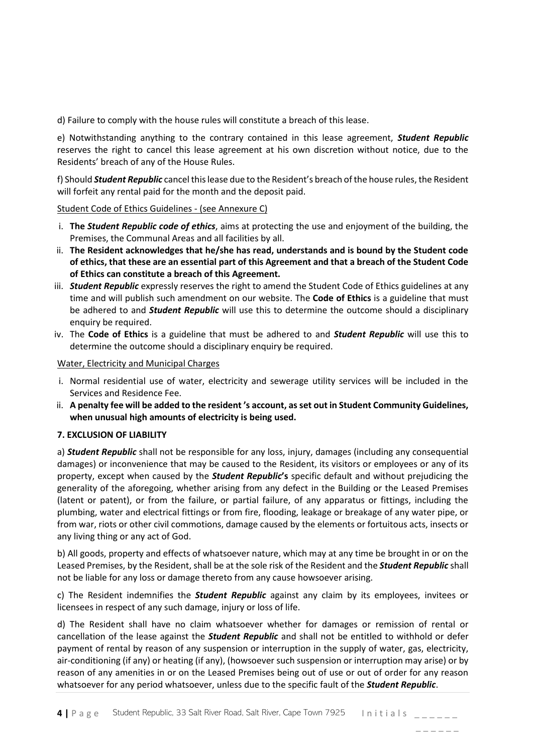d) Failure to comply with the house rules will constitute a breach of this lease.

e) Notwithstanding anything to the contrary contained in this lease agreement, *Student Republic* reserves the right to cancel this lease agreement at his own discretion without notice, due to the Residents' breach of any of the House Rules.

f) Should *Student Republic* cancel this lease due to the Resident's breach of the house rules, the Resident will forfeit any rental paid for the month and the deposit paid.

## Student Code of Ethics Guidelines - (see Annexure C)

- i. **The** *Student Republic code of ethics*, aims at protecting the use and enjoyment of the building, the Premises, the Communal Areas and all facilities by all.
- ii. **The Resident acknowledges that he/she has read, understands and is bound by the Student code of ethics, that these are an essential part of this Agreement and that a breach of the Student Code of Ethics can constitute a breach of this Agreement.**
- iii. *Student Republic* expressly reserves the right to amend the Student Code of Ethics guidelines at any time and will publish such amendment on our website. The **Code of Ethics** is a guideline that must be adhered to and *Student Republic* will use this to determine the outcome should a disciplinary enquiry be required.
- iv. The **Code of Ethics** is a guideline that must be adhered to and *Student Republic* will use this to determine the outcome should a disciplinary enquiry be required.

## Water, Electricity and Municipal Charges

- i. Normal residential use of water, electricity and sewerage utility services will be included in the Services and Residence Fee.
- ii. **A penalty fee will be added to the resident 's account, as set out in Student Community Guidelines, when unusual high amounts of electricity is being used.**

# **7. EXCLUSION OF LIABILITY**

a) *Student Republic* shall not be responsible for any loss, injury, damages (including any consequential damages) or inconvenience that may be caused to the Resident, its visitors or employees or any of its property, except when caused by the *Student Republic***'s** specific default and without prejudicing the generality of the aforegoing, whether arising from any defect in the Building or the Leased Premises (latent or patent), or from the failure, or partial failure, of any apparatus or fittings, including the plumbing, water and electrical fittings or from fire, flooding, leakage or breakage of any water pipe, or from war, riots or other civil commotions, damage caused by the elements or fortuitous acts, insects or any living thing or any act of God.

b) All goods, property and effects of whatsoever nature, which may at any time be brought in or on the Leased Premises, by the Resident, shall be at the sole risk of the Resident and the *Student Republic* shall not be liable for any loss or damage thereto from any cause howsoever arising.

c) The Resident indemnifies the *Student Republic* against any claim by its employees, invitees or licensees in respect of any such damage, injury or loss of life.

d) The Resident shall have no claim whatsoever whether for damages or remission of rental or cancellation of the lease against the *Student Republic* and shall not be entitled to withhold or defer payment of rental by reason of any suspension or interruption in the supply of water, gas, electricity, air-conditioning (if any) or heating (if any), (howsoever such suspension or interruption may arise) or by reason of any amenities in or on the Leased Premises being out of use or out of order for any reason whatsoever for any period whatsoever, unless due to the specific fault of the *Student Republic*.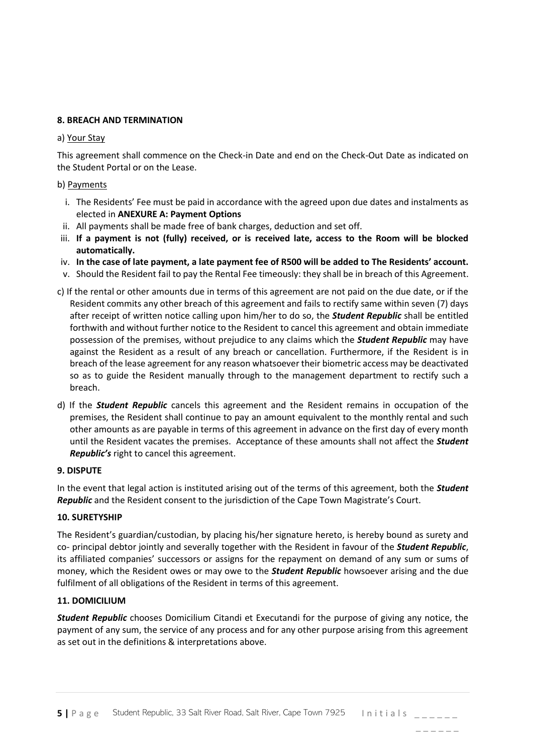### **8. BREACH AND TERMINATION**

### a) Your Stay

This agreement shall commence on the Check-in Date and end on the Check-Out Date as indicated on the Student Portal or on the Lease.

### b) Payments

- i. The Residents' Fee must be paid in accordance with the agreed upon due dates and instalments as elected in **ANEXURE A: Payment Options**
- ii. All payments shall be made free of bank charges, deduction and set off.
- iii. **If a payment is not (fully) received, or is received late, access to the Room will be blocked automatically.**
- iv. **In the case of late payment, a late payment fee of R500 will be added to The Residents' account.**
- v. Should the Resident fail to pay the Rental Fee timeously: they shall be in breach of this Agreement.
- c) If the rental or other amounts due in terms of this agreement are not paid on the due date, or if the Resident commits any other breach of this agreement and fails to rectify same within seven (7) days after receipt of written notice calling upon him/her to do so, the *Student Republic* shall be entitled forthwith and without further notice to the Resident to cancel this agreement and obtain immediate possession of the premises, without prejudice to any claims which the *Student Republic* may have against the Resident as a result of any breach or cancellation. Furthermore, if the Resident is in breach of the lease agreement for any reason whatsoever their biometric access may be deactivated so as to guide the Resident manually through to the management department to rectify such a breach.
- d) If the *Student Republic* cancels this agreement and the Resident remains in occupation of the premises, the Resident shall continue to pay an amount equivalent to the monthly rental and such other amounts as are payable in terms of this agreement in advance on the first day of every month until the Resident vacates the premises. Acceptance of these amounts shall not affect the *Student Republic's* right to cancel this agreement.

### **9. DISPUTE**

In the event that legal action is instituted arising out of the terms of this agreement, both the *Student Republic* and the Resident consent to the jurisdiction of the Cape Town Magistrate's Court.

# **10. SURETYSHIP**

The Resident's guardian/custodian, by placing his/her signature hereto, is hereby bound as surety and co- principal debtor jointly and severally together with the Resident in favour of the *Student Republic*, its affiliated companies' successors or assigns for the repayment on demand of any sum or sums of money, which the Resident owes or may owe to the *Student Republic* howsoever arising and the due fulfilment of all obligations of the Resident in terms of this agreement.

### **11. DOMICILIUM**

*Student Republic* chooses Domicilium Citandi et Executandi for the purpose of giving any notice, the payment of any sum, the service of any process and for any other purpose arising from this agreement as set out in the definitions & interpretations above.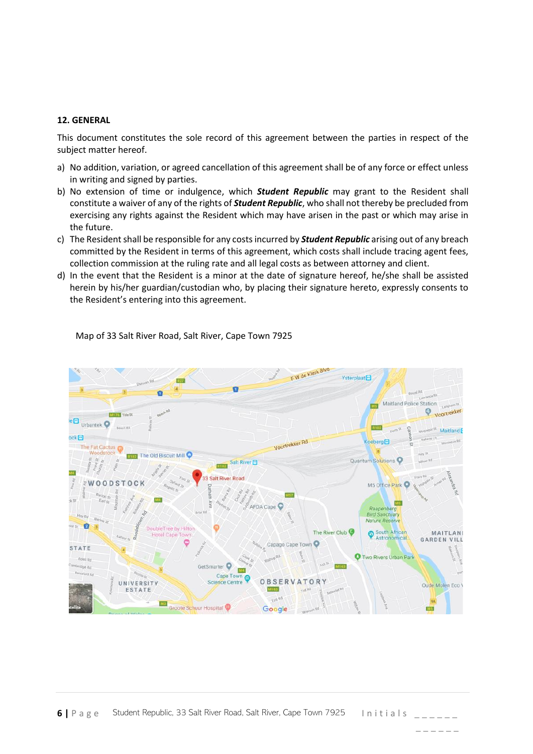### **12. GENERAL**

This document constitutes the sole record of this agreement between the parties in respect of the subject matter hereof.

- a) No addition, variation, or agreed cancellation of this agreement shall be of any force or effect unless in writing and signed by parties.
- b) No extension of time or indulgence, which *Student Republic* may grant to the Resident shall constitute a waiver of any of the rights of *Student Republic*, who shall not thereby be precluded from exercising any rights against the Resident which may have arisen in the past or which may arise in the future.
- c) The Resident shall be responsible for any costs incurred by **Student Republic** arising out of any breach committed by the Resident in terms of this agreement, which costs shall include tracing agent fees, collection commission at the ruling rate and all legal costs as between attorney and client.
- d) In the event that the Resident is a minor at the date of signature hereof, he/she shall be assisted herein by his/her guardian/custodian who, by placing their signature hereto, expressly consents to the Resident's entering into this agreement.



Map of 33 Salt River Road, Salt River, Cape Town 7925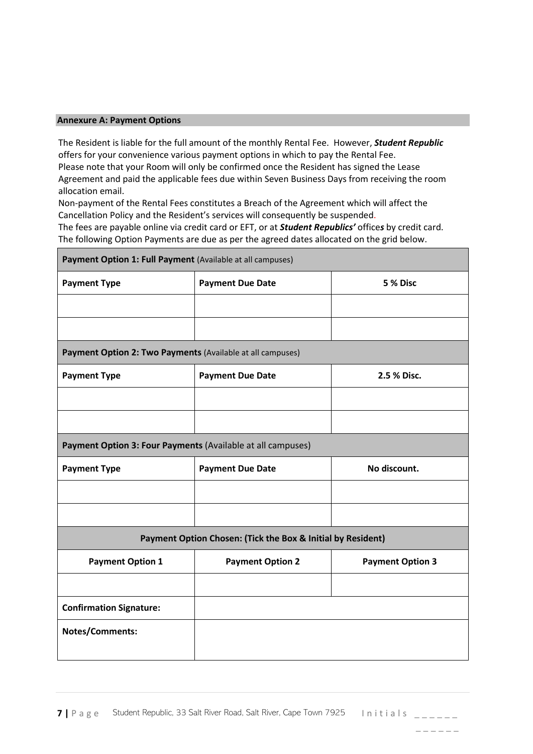#### **Annexure A: Payment Options**

The Resident is liable for the full amount of the monthly Rental Fee. However, *Student Republic* offers for your convenience various payment options in which to pay the Rental Fee. Please note that your Room will only be confirmed once the Resident has signed the Lease Agreement and paid the applicable fees due within Seven Business Days from receiving the room allocation email.

Non-payment of the Rental Fees constitutes a Breach of the Agreement which will affect the Cancellation Policy and the Resident's services will consequently be suspended.

The fees are payable online via credit card or EFT, or at *Student Republics'* office*s* by credit card. The following Option Payments are due as per the agreed dates allocated on the grid below.

| Payment Option 1: Full Payment (Available at all campuses)  |                         |                         |  |  |  |
|-------------------------------------------------------------|-------------------------|-------------------------|--|--|--|
| <b>Payment Type</b>                                         | <b>Payment Due Date</b> | 5 % Disc                |  |  |  |
|                                                             |                         |                         |  |  |  |
|                                                             |                         |                         |  |  |  |
| Payment Option 2: Two Payments (Available at all campuses)  |                         |                         |  |  |  |
| <b>Payment Type</b>                                         | <b>Payment Due Date</b> | 2.5 % Disc.             |  |  |  |
|                                                             |                         |                         |  |  |  |
|                                                             |                         |                         |  |  |  |
| Payment Option 3: Four Payments (Available at all campuses) |                         |                         |  |  |  |
| <b>Payment Type</b>                                         | <b>Payment Due Date</b> | No discount.            |  |  |  |
|                                                             |                         |                         |  |  |  |
|                                                             |                         |                         |  |  |  |
| Payment Option Chosen: (Tick the Box & Initial by Resident) |                         |                         |  |  |  |
| <b>Payment Option 1</b>                                     | <b>Payment Option 2</b> | <b>Payment Option 3</b> |  |  |  |
|                                                             |                         |                         |  |  |  |
| <b>Confirmation Signature:</b>                              |                         |                         |  |  |  |
| Notes/Comments:                                             |                         |                         |  |  |  |
|                                                             |                         |                         |  |  |  |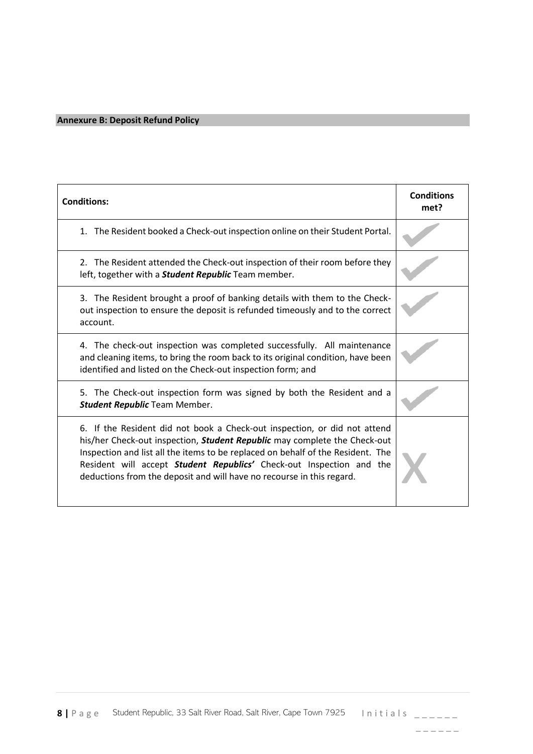# **Annexure B: Deposit Refund Policy**

| <b>Conditions:</b>                                                                                                                                                                                                                                                                                                                                                                                       | <b>Conditions</b><br>met? |
|----------------------------------------------------------------------------------------------------------------------------------------------------------------------------------------------------------------------------------------------------------------------------------------------------------------------------------------------------------------------------------------------------------|---------------------------|
| 1. The Resident booked a Check-out inspection online on their Student Portal.                                                                                                                                                                                                                                                                                                                            |                           |
| 2. The Resident attended the Check-out inspection of their room before they<br>left, together with a <b>Student Republic</b> Team member.                                                                                                                                                                                                                                                                |                           |
| 3. The Resident brought a proof of banking details with them to the Check-<br>out inspection to ensure the deposit is refunded timeously and to the correct<br>account.                                                                                                                                                                                                                                  |                           |
| 4. The check-out inspection was completed successfully. All maintenance<br>and cleaning items, to bring the room back to its original condition, have been<br>identified and listed on the Check-out inspection form; and                                                                                                                                                                                |                           |
| 5. The Check-out inspection form was signed by both the Resident and a<br><b>Student Republic Team Member.</b>                                                                                                                                                                                                                                                                                           |                           |
| 6. If the Resident did not book a Check-out inspection, or did not attend<br>his/her Check-out inspection, <b>Student Republic</b> may complete the Check-out<br>Inspection and list all the items to be replaced on behalf of the Resident. The<br>Resident will accept <b>Student Republics'</b> Check-out Inspection and the<br>deductions from the deposit and will have no recourse in this regard. |                           |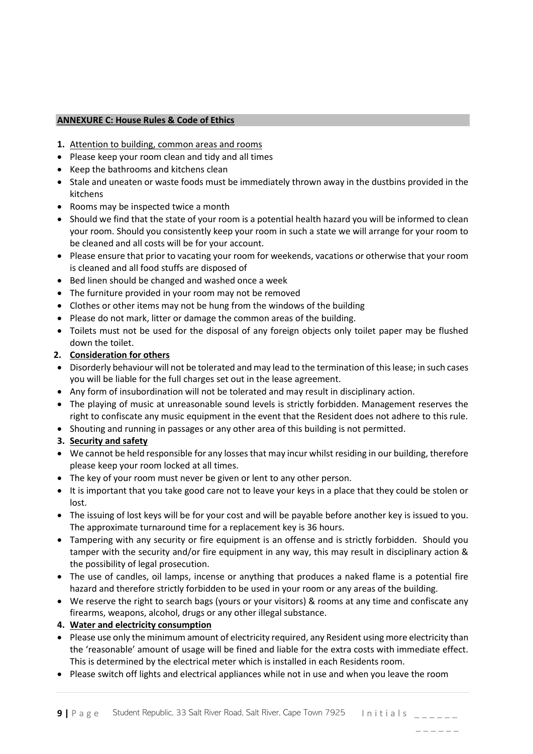# **ANNEXURE C: House Rules & Code of Ethics**

- **1.** Attention to building, common areas and rooms
- Please keep your room clean and tidy and all times
- Keep the bathrooms and kitchens clean
- Stale and uneaten or waste foods must be immediately thrown away in the dustbins provided in the kitchens
- Rooms may be inspected twice a month
- Should we find that the state of your room is a potential health hazard you will be informed to clean your room. Should you consistently keep your room in such a state we will arrange for your room to be cleaned and all costs will be for your account.
- Please ensure that prior to vacating your room for weekends, vacations or otherwise that your room is cleaned and all food stuffs are disposed of
- Bed linen should be changed and washed once a week
- The furniture provided in your room may not be removed
- Clothes or other items may not be hung from the windows of the building
- Please do not mark, litter or damage the common areas of the building.
- Toilets must not be used for the disposal of any foreign objects only toilet paper may be flushed down the toilet.

# **2. Consideration for others**

- Disorderly behaviour will not be tolerated and may lead to the termination of this lease; in such cases you will be liable for the full charges set out in the lease agreement.
- Any form of insubordination will not be tolerated and may result in disciplinary action.
- The playing of music at unreasonable sound levels is strictly forbidden. Management reserves the right to confiscate any music equipment in the event that the Resident does not adhere to this rule.
- Shouting and running in passages or any other area of this building is not permitted.

# **3. Security and safety**

- We cannot be held responsible for any losses that may incur whilst residing in our building, therefore please keep your room locked at all times.
- The key of your room must never be given or lent to any other person.
- It is important that you take good care not to leave your keys in a place that they could be stolen or lost.
- The issuing of lost keys will be for your cost and will be payable before another key is issued to you. The approximate turnaround time for a replacement key is 36 hours.
- Tampering with any security or fire equipment is an offense and is strictly forbidden. Should you tamper with the security and/or fire equipment in any way, this may result in disciplinary action & the possibility of legal prosecution.
- The use of candles, oil lamps, incense or anything that produces a naked flame is a potential fire hazard and therefore strictly forbidden to be used in your room or any areas of the building.
- We reserve the right to search bags (yours or your visitors) & rooms at any time and confiscate any firearms, weapons, alcohol, drugs or any other illegal substance.

# **4. Water and electricity consumption**

- Please use only the minimum amount of electricity required, any Resident using more electricity than the 'reasonable' amount of usage will be fined and liable for the extra costs with immediate effect. This is determined by the electrical meter which is installed in each Residents room.
- Please switch off lights and electrical appliances while not in use and when you leave the room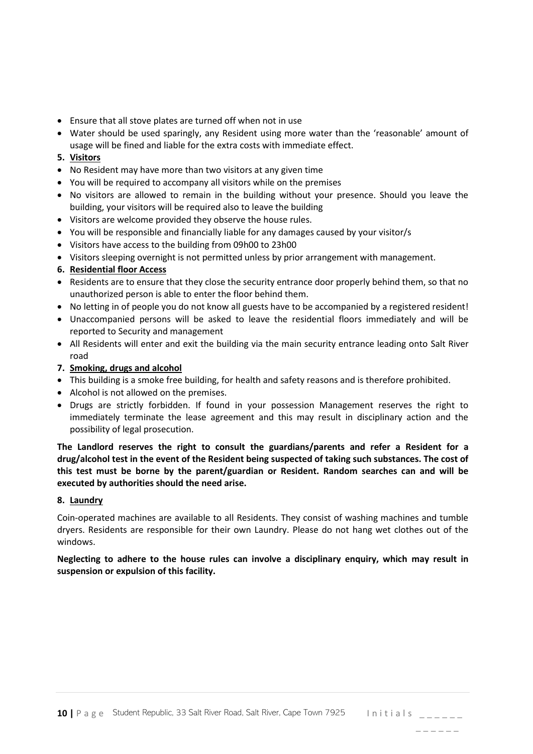- Ensure that all stove plates are turned off when not in use
- Water should be used sparingly, any Resident using more water than the 'reasonable' amount of usage will be fined and liable for the extra costs with immediate effect.
- **5. Visitors**
- No Resident may have more than two visitors at any given time
- You will be required to accompany all visitors while on the premises
- No visitors are allowed to remain in the building without your presence. Should you leave the building, your visitors will be required also to leave the building
- Visitors are welcome provided they observe the house rules.
- You will be responsible and financially liable for any damages caused by your visitor/s
- Visitors have access to the building from 09h00 to 23h00
- Visitors sleeping overnight is not permitted unless by prior arrangement with management.

### **6. Residential floor Access**

- Residents are to ensure that they close the security entrance door properly behind them, so that no unauthorized person is able to enter the floor behind them.
- No letting in of people you do not know all guests have to be accompanied by a registered resident!
- Unaccompanied persons will be asked to leave the residential floors immediately and will be reported to Security and management
- All Residents will enter and exit the building via the main security entrance leading onto Salt River road
- **7. Smoking, drugs and alcohol**
- This building is a smoke free building, for health and safety reasons and is therefore prohibited.
- Alcohol is not allowed on the premises.
- Drugs are strictly forbidden. If found in your possession Management reserves the right to immediately terminate the lease agreement and this may result in disciplinary action and the possibility of legal prosecution.

**The Landlord reserves the right to consult the guardians/parents and refer a Resident for a drug/alcohol test in the event of the Resident being suspected of taking such substances. The cost of this test must be borne by the parent/guardian or Resident. Random searches can and will be executed by authorities should the need arise.** 

### **8. Laundry**

Coin-operated machines are available to all Residents. They consist of washing machines and tumble dryers. Residents are responsible for their own Laundry. Please do not hang wet clothes out of the windows.

**Neglecting to adhere to the house rules can involve a disciplinary enquiry, which may result in suspension or expulsion of this facility.**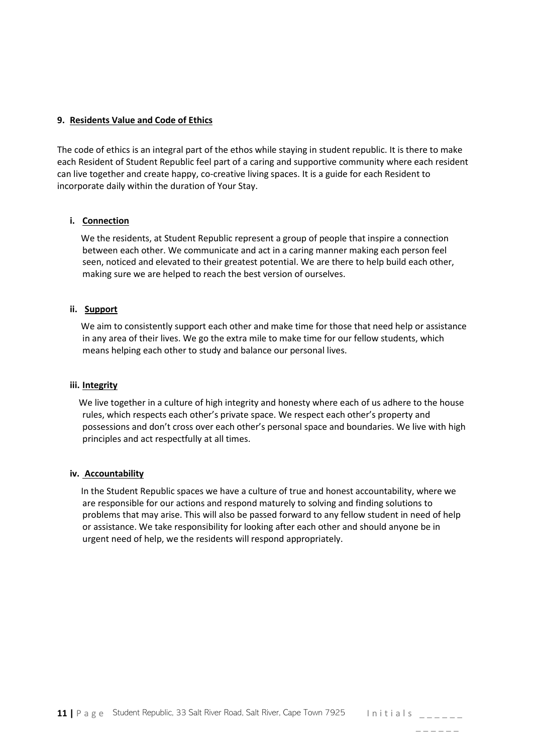### **9. Residents Value and Code of Ethics**

The code of ethics is an integral part of the ethos while staying in student republic. It is there to make each Resident of Student Republic feel part of a caring and supportive community where each resident can live together and create happy, co-creative living spaces. It is a guide for each Resident to incorporate daily within the duration of Your Stay.

### **i. Connection**

 We the residents, at Student Republic represent a group of people that inspire a connection between each other. We communicate and act in a caring manner making each person feel seen, noticed and elevated to their greatest potential. We are there to help build each other, making sure we are helped to reach the best version of ourselves.

### **ii. Support**

We aim to consistently support each other and make time for those that need help or assistance in any area of their lives. We go the extra mile to make time for our fellow students, which means helping each other to study and balance our personal lives.

## **iii. Integrity**

 We live together in a culture of high integrity and honesty where each of us adhere to the house rules, which respects each other's private space. We respect each other's property and possessions and don't cross over each other's personal space and boundaries. We live with high principles and act respectfully at all times.

#### **iv. Accountability**

 In the Student Republic spaces we have a culture of true and honest accountability, where we are responsible for our actions and respond maturely to solving and finding solutions to problems that may arise. This will also be passed forward to any fellow student in need of help or assistance. We take responsibility for looking after each other and should anyone be in urgent need of help, we the residents will respond appropriately.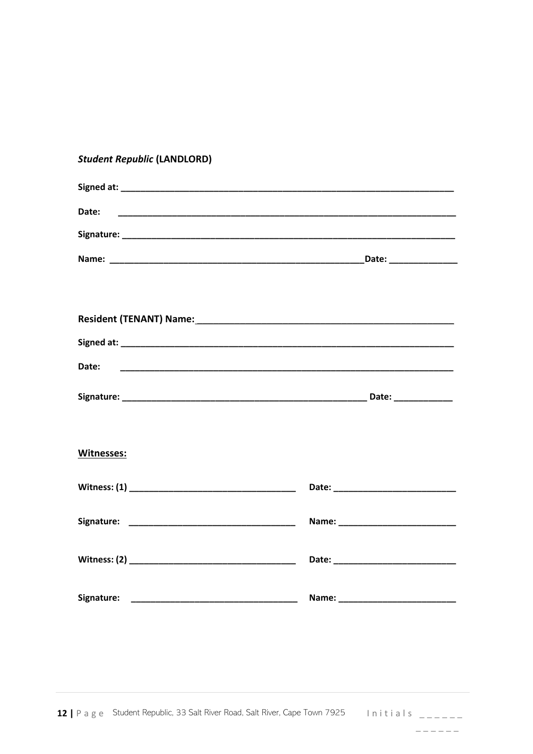# **Student Republic (LANDLORD)**

| Date:      |  |
|------------|--|
|            |  |
|            |  |
|            |  |
|            |  |
| Date:      |  |
|            |  |
| Witnesses: |  |
|            |  |
|            |  |
|            |  |
|            |  |

 $------$